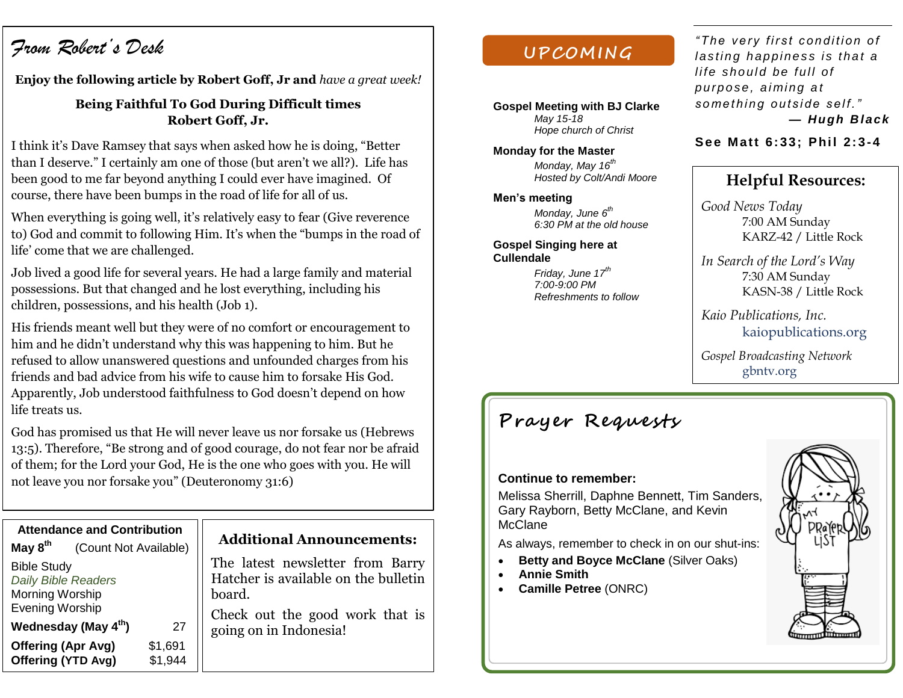# *From Robert's Desk*

**Enjoy the following article by Robert Goff, Jr and** *have a great week!*

## **Being Faithful To God During Difficult times Robert Goff, Jr.**

I think it's Dave Ramsey that says when asked how he is doing, "Better than I deserve." I certainly am one of those (but aren't we all?). Life has been good to me far beyond anything I could ever have imagined. Of course, there have been bumps in the road of life for all of us.

When everything is going well, it's relatively easy to fear (Give reverence to) God and commit to following Him. It's when the "bumps in the road of life' come that we are challenged.

Job lived a good life for several years. He had a large family and material possessions. But that changed and he lost everything, including his children, possessions, and his health (Job 1).

His friends meant well but they were of no comfort or encouragement to him and he didn't understand why this was happening to him. But he refused to allow unanswered questions and unfounded charges from his friends and bad advice from his wife to cause him to forsake His God. Apparently, Job understood faithfulness to God doesn't depend on how life treats us.

God has promised us that He will never leave us nor forsake us (Hebrews 13:5). Therefore, "Be strong and of good courage, do not fear nor be afraid of them; for the Lord your God, He is the one who goes with you. He will not leave you nor forsake you" (Deuteronomy 31:6)

|                            | <b>Attendance and Contribution</b> |         |   |
|----------------------------|------------------------------------|---------|---|
| May $8th$                  | (Count Not Available)              |         |   |
| <b>Bible Study</b>         |                                    |         | Τ |
| <b>Daily Bible Readers</b> |                                    |         | F |
| Morning Worship            |                                    |         | b |
| <b>Evening Worship</b>     |                                    |         | C |
|                            | Wednesday (May 4 <sup>th</sup> )   | 27      | g |
|                            | <b>Offering (Apr Avg)</b>          | \$1,691 |   |
|                            | Offering (YTD Avg)                 | \$1,944 |   |

### **Additional Announcements:**

The latest newsletter from Barry Hatcher is available on the bulletin oard.

Check out the good work that is oing on in Indonesia!

## **UPCOM ING**

**Gospel Meeting with BJ Clarke** *May 15-18 Hope church of Christ*

**Monday for the Master** *Monday, May 16th Hosted by Colt/Andi Moore*

#### **Men's meeting**

*Monday, June 6th 6:30 PM at the old house*

**Gospel Singing here at Cullendale**

> *Friday, June 17th 7:00-9:00 PM Refreshments to follow*

*" The ve ry fi r st c ondi ti on o f l as ti ng h appi nes s i s t ha t a life should be full of pu rpo se , ai mi ng a t*  something outside self." *— Hugh B lack*

#### **Se e Matt 6: 33; Phil 2: 3-4**

## **Helpful Resources:**

*Good News Today* 7:00 AM Sunday KARZ-42 / Little Rock

*In Search of the Lord's Way* 7:30 AM Sunday KASN-38 / Little Rock

*Kaio Publications, Inc.* kaiopublications.org

*Gospel Broadcasting Network* gbntv.org

# **Prayer Requests**

#### **Continue to remember:**

Melissa Sherrill, Daphne Bennett, Tim Sanders, Gary Rayborn, Betty McClane, and Kevin McClane

As always, remember to check in on our shut-ins:

- **Betty and Boyce McClane (Silver Oaks)**
- **Annie Smith**
- **Camille Petree** (ONRC)